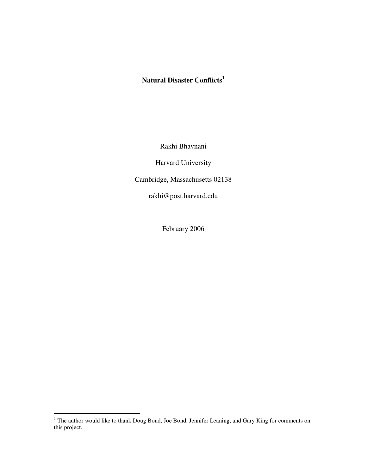# **Natural Disaster Conflicts<sup>1</sup>**

Rakhi Bhavnani

Harvard University

Cambridge, Massachusetts 02138

rakhi@post.harvard.edu

February 2006

The author would like to thank Doug Bond, Joe Bond, Jennifer Leaning, and Gary King for comments on this project.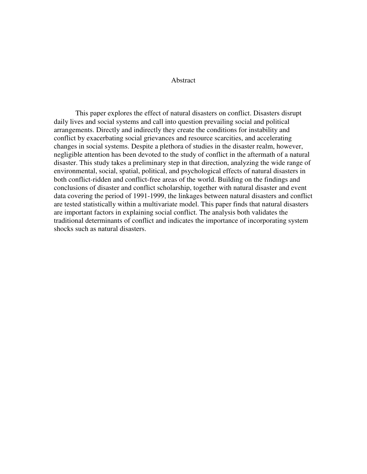### Abstract

This paper explores the effect of natural disasters on conflict. Disasters disrupt daily lives and social systems and call into question prevailing social and political arrangements. Directly and indirectly they create the conditions for instability and conflict by exacerbating social grievances and resource scarcities, and accelerating changes in social systems. Despite a plethora of studies in the disaster realm, however, negligible attention has been devoted to the study of conflict in the aftermath of a natural disaster. This study takes a preliminary step in that direction, analyzing the wide range of environmental, social, spatial, political, and psychological effects of natural disasters in both conflict-ridden and conflict-free areas of the world. Building on the findings and conclusions of disaster and conflict scholarship, together with natural disaster and event data covering the period of 1991-1999, the linkages between natural disasters and conflict are tested statistically within a multivariate model. This paper finds that natural disasters are important factors in explaining social conflict. The analysis both validates the traditional determinants of conflict and indicates the importance of incorporating system shocks such as natural disasters.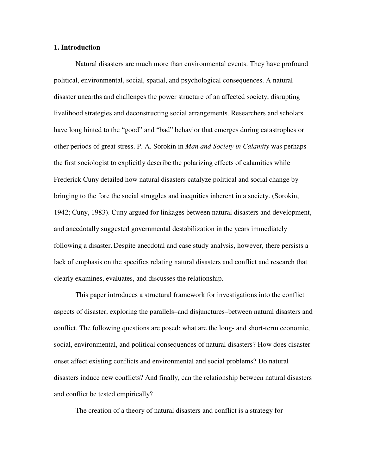### **1. Introduction**

Natural disasters are much more than environmental events. They have profound political, environmental, social, spatial, and psychological consequences. A natural disaster unearths and challenges the power structure of an affected society, disrupting livelihood strategies and deconstructing social arrangements. Researchers and scholars have long hinted to the "good" and "bad" behavior that emerges during catastrophes or other periods of great stress. P. A. Sorokin in *Man and Society in Calamity* was perhaps the first sociologist to explicitly describe the polarizing effects of calamities while Frederick Cuny detailed how natural disasters catalyze political and social change by bringing to the fore the social struggles and inequities inherent in a society. (Sorokin, 1942; Cuny, 1983). Cuny argued for linkages between natural disasters and development, and anecdotally suggested governmental destabilization in the years immediately following a disaster. Despite anecdotal and case study analysis, however, there persists a lack of emphasis on the specifics relating natural disasters and conflict and research that clearly examines, evaluates, and discusses the relationship.

This paper introduces a structural framework for investigations into the conflict aspects of disaster, exploring the parallels–and disjunctures–between natural disasters and conflict. The following questions are posed: what are the long- and short-term economic, social, environmental, and political consequences of natural disasters? How does disaster onset affect existing conflicts and environmental and social problems? Do natural disasters induce new conflicts? And finally, can the relationship between natural disasters and conflict be tested empirically?

The creation of a theory of natural disasters and conflict is a strategy for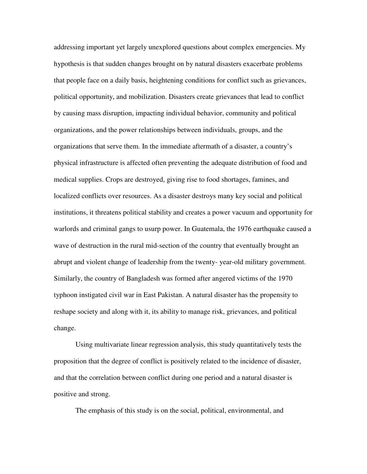addressing important yet largely unexplored questions about complex emergencies. My hypothesis is that sudden changes brought on by natural disasters exacerbate problems that people face on a daily basis, heightening conditions for conflict such as grievances, political opportunity, and mobilization. Disasters create grievances that lead to conflict by causing mass disruption, impacting individual behavior, community and political organizations, and the power relationships between individuals, groups, and the organizations that serve them. In the immediate aftermath of a disaster, a country's physical infrastructure is affected often preventing the adequate distribution of food and medical supplies. Crops are destroyed, giving rise to food shortages, famines, and localized conflicts over resources. As a disaster destroys many key social and political institutions, it threatens political stability and creates a power vacuum and opportunity for warlords and criminal gangs to usurp power. In Guatemala, the 1976 earthquake caused a wave of destruction in the rural mid-section of the country that eventually brought an abrupt and violent change of leadership from the twenty- year-old military government. Similarly, the country of Bangladesh was formed after angered victims of the 1970 typhoon instigated civil war in East Pakistan. A natural disaster has the propensity to reshape society and along with it, its ability to manage risk, grievances, and political change.

Using multivariate linear regression analysis, this study quantitatively tests the proposition that the degree of conflict is positively related to the incidence of disaster, and that the correlation between conflict during one period and a natural disaster is positive and strong.

The emphasis of this study is on the social, political, environmental, and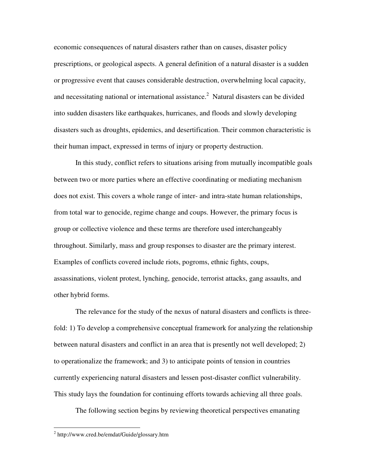economic consequences of natural disasters rather than on causes, disaster policy prescriptions, or geological aspects. A general definition of a natural disaster is a sudden or progressive event that causes considerable destruction, overwhelming local capacity, and necessitating national or international assistance. 2 Natural disasters can be divided into sudden disasters like earthquakes, hurricanes, and floods and slowly developing disasters such as droughts, epidemics, and desertification. Their common characteristic is their human impact, expressed in terms of injury or property destruction.

In this study, conflict refers to situations arising from mutually incompatible goals between two or more parties where an effective coordinating or mediating mechanism does not exist. This covers a whole range of inter- and intra-state human relationships, from total war to genocide, regime change and coups. However, the primary focus is group or collective violence and these terms are therefore used interchangeably throughout. Similarly, mass and group responses to disaster are the primary interest. Examples of conflicts covered include riots, pogroms, ethnic fights, coups, assassinations, violent protest, lynching, genocide, terrorist attacks, gang assaults, and other hybrid forms.

The relevance for the study of the nexus of natural disasters and conflicts is threefold: 1) To develop a comprehensive conceptual framework for analyzing the relationship between natural disasters and conflict in an area that is presently not well developed; 2) to operationalize the framework; and 3) to anticipate points of tension in countries currently experiencing natural disasters and lessen post-disaster conflict vulnerability. This study lays the foundation for continuing efforts towards achieving all three goals.

The following section begins by reviewing theoretical perspectives emanating

-

<sup>&</sup>lt;sup>2</sup> http://www.cred.be/emdat/Guide/glossary.htm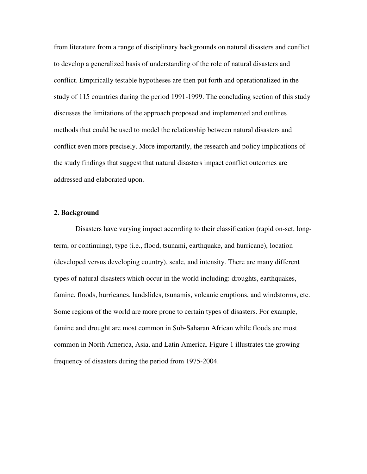from literature from a range of disciplinary backgrounds on natural disasters and conflict to develop a generalized basis of understanding of the role of natural disasters and conflict. Empirically testable hypotheses are then put forth and operationalized in the study of 115 countries during the period 1991-1999. The concluding section of this study discusses the limitations of the approach proposed and implemented and outlines methods that could be used to model the relationship between natural disasters and conflict even more precisely. More importantly, the research and policy implications of the study findings that suggest that natural disasters impact conflict outcomes are addressed and elaborated upon.

### **2. Background**

Disasters have varying impact according to their classification (rapid on-set, longterm, or continuing), type (i.e., flood, tsunami, earthquake, and hurricane), location (developed versus developing country), scale, and intensity. There are many different types of natural disasters which occur in the world including: droughts, earthquakes, famine, floods, hurricanes, landslides, tsunamis, volcanic eruptions, and windstorms, etc. Some regions of the world are more prone to certain types of disasters. For example, famine and drought are most common in Sub-Saharan African while floods are most common in North America, Asia, and Latin America. Figure 1 illustrates the growing frequency of disasters during the period from 1975-2004.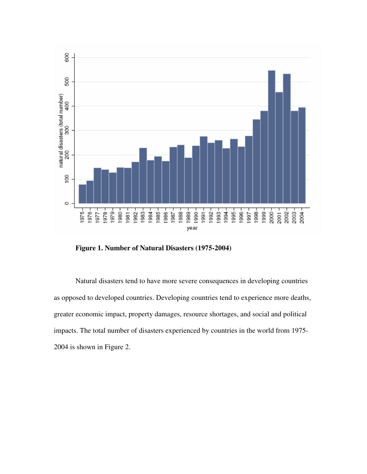

**Figure 1. Number of Natural Disasters (1975-2004)** 

Natural disasters tend to have more severe consequences in developing countries as opposed to developed countries. Developing countries tend to experience more deaths, greater economic impact, property damages, resource shortages, and social and political impacts. The total number of disasters experienced by countries in the world from 1975- 2004 is shown in Figure 2.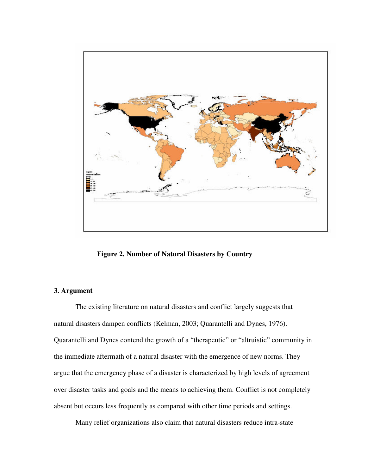

**Figure 2. Number of Natural Disasters by Country** 

# **3. Argument**

The existing literature on natural disasters and conflict largely suggests that natural disasters dampen conflicts (Kelman, 2003; Quarantelli and Dynes, 1976). Quarantelli and Dynes contend the growth of a "therapeutic" or "altruistic" community in the immediate aftermath of a natural disaster with the emergence of new norms. They argue that the emergency phase of a disaster is characterized by high levels of agreement over disaster tasks and goals and the means to achieving them. Conflict is not completely absent but occurs less frequently as compared with other time periods and settings.

Many relief organizations also claim that natural disasters reduce intra-state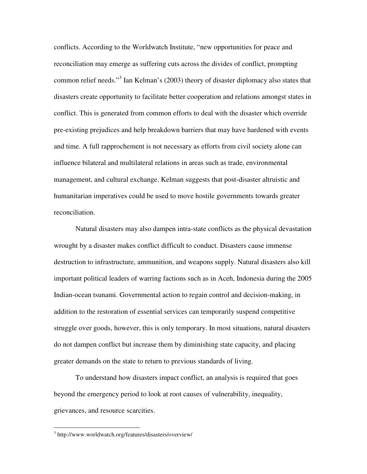conflicts. According to the Worldwatch Institute, "new opportunities for peace and reconciliation may emerge as suffering cuts across the divides of conflict, prompting common relief needs."<sup>3</sup> Ian Kelman's (2003) theory of disaster diplomacy also states that disasters create opportunity to facilitate better cooperation and relations amongst states in conflict. This is generated from common efforts to deal with the disaster which override pre-existing prejudices and help breakdown barriers that may have hardened with events and time. A full rapprochement is not necessary as efforts from civil society alone can influence bilateral and multilateral relations in areas such as trade, environmental management, and cultural exchange. Kelman suggests that post-disaster altruistic and humanitarian imperatives could be used to move hostile governments towards greater reconciliation.

Natural disasters may also dampen intra-state conflicts as the physical devastation wrought by a disaster makes conflict difficult to conduct. Disasters cause immense destruction to infrastructure, ammunition, and weapons supply. Natural disasters also kill important political leaders of warring factions such as in Aceh, Indonesia during the 2005 Indian-ocean tsunami. Governmental action to regain control and decision-making, in addition to the restoration of essential services can temporarily suspend competitive struggle over goods, however, this is only temporary. In most situations, natural disasters do not dampen conflict but increase them by diminishing state capacity, and placing greater demands on the state to return to previous standards of living.

To understand how disasters impact conflict, an analysis is required that goes beyond the emergency period to look at root causes of vulnerability, inequality, grievances, and resource scarcities.

l

<sup>3</sup> http://www.worldwatch.org/features/disasters/overview/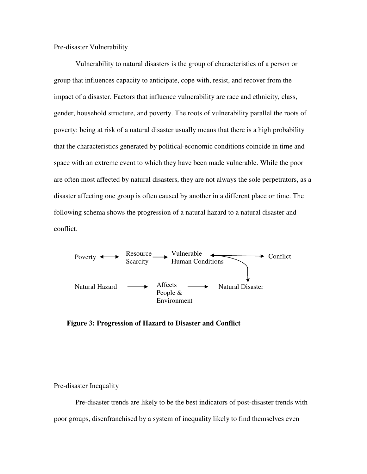Pre-disaster Vulnerability

Vulnerability to natural disasters is the group of characteristics of a person or group that influences capacity to anticipate, cope with, resist, and recover from the impact of a disaster. Factors that influence vulnerability are race and ethnicity, class, gender, household structure, and poverty. The roots of vulnerability parallel the roots of poverty: being at risk of a natural disaster usually means that there is a high probability that the characteristics generated by political-economic conditions coincide in time and space with an extreme event to which they have been made vulnerable. While the poor are often most affected by natural disasters, they are not always the sole perpetrators, as a disaster affecting one group is often caused by another in a different place or time. The following schema shows the progression of a natural hazard to a natural disaster and conflict.



**Figure 3: Progression of Hazard to Disaster and Conflict**

Pre-disaster Inequality

Pre-disaster trends are likely to be the best indicators of post-disaster trends with poor groups, disenfranchised by a system of inequality likely to find themselves even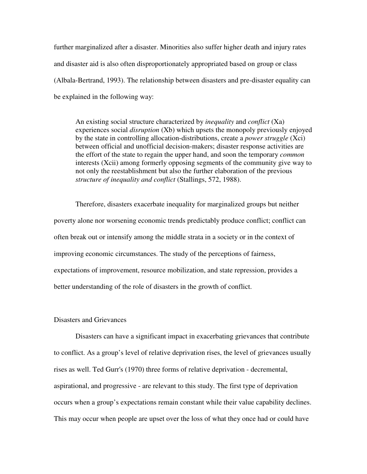further marginalized after a disaster. Minorities also suffer higher death and injury rates and disaster aid is also often disproportionately appropriated based on group or class (Albala-Bertrand, 1993). The relationship between disasters and pre-disaster equality can be explained in the following way:

An existing social structure characterized by *inequality* and *conflict* (Xa) experiences social *disruption* (Xb) which upsets the monopoly previously enjoyed by the state in controlling allocation-distributions, create a *power struggle* (Xci) between official and unofficial decision-makers; disaster response activities are the effort of the state to regain the upper hand, and soon the temporary *common* interests (Xcii) among formerly opposing segments of the community give way to not only the reestablishment but also the further elaboration of the previous *structure of inequality and conflict* (Stallings, 572, 1988).

Therefore, disasters exacerbate inequality for marginalized groups but neither poverty alone nor worsening economic trends predictably produce conflict; conflict can often break out or intensify among the middle strata in a society or in the context of improving economic circumstances. The study of the perceptions of fairness, expectations of improvement, resource mobilization, and state repression, provides a better understanding of the role of disasters in the growth of conflict.

# Disasters and Grievances

Disasters can have a significant impact in exacerbating grievances that contribute to conflict. As a group's level of relative deprivation rises, the level of grievances usually rises as well. Ted Gurr's (1970) three forms of relative deprivation - decremental, aspirational, and progressive - are relevant to this study. The first type of deprivation occurs when a group's expectations remain constant while their value capability declines. This may occur when people are upset over the loss of what they once had or could have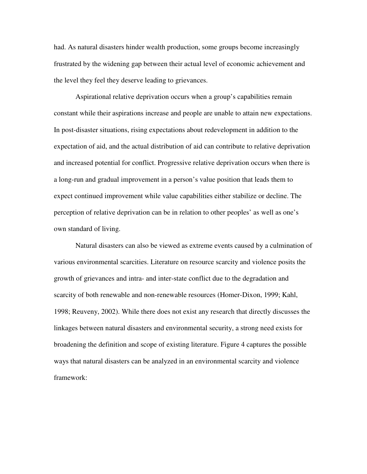had. As natural disasters hinder wealth production, some groups become increasingly frustrated by the widening gap between their actual level of economic achievement and the level they feel they deserve leading to grievances.

Aspirational relative deprivation occurs when a group's capabilities remain constant while their aspirations increase and people are unable to attain new expectations. In post-disaster situations, rising expectations about redevelopment in addition to the expectation of aid, and the actual distribution of aid can contribute to relative deprivation and increased potential for conflict. Progressive relative deprivation occurs when there is a long-run and gradual improvement in a person's value position that leads them to expect continued improvement while value capabilities either stabilize or decline. The perception of relative deprivation can be in relation to other peoples' as well as one's own standard of living.

Natural disasters can also be viewed as extreme events caused by a culmination of various environmental scarcities. Literature on resource scarcity and violence posits the growth of grievances and intra- and inter-state conflict due to the degradation and scarcity of both renewable and non-renewable resources (Homer-Dixon, 1999; Kahl, 1998; Reuveny, 2002). While there does not exist any research that directly discusses the linkages between natural disasters and environmental security, a strong need exists for broadening the definition and scope of existing literature. Figure 4 captures the possible ways that natural disasters can be analyzed in an environmental scarcity and violence framework: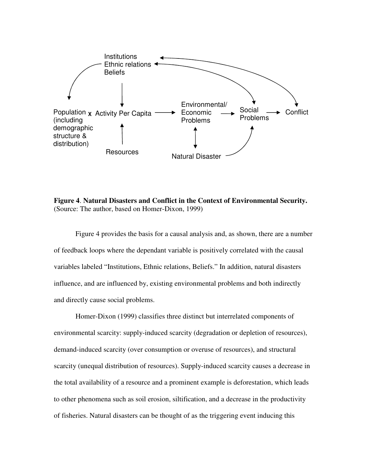

**Figure 4**. **Natural Disasters and Conflict in the Context of Environmental Security.** (Source: The author, based on Homer-Dixon, 1999)

Figure 4 provides the basis for a causal analysis and, as shown, there are a number of feedback loops where the dependant variable is positively correlated with the causal variables labeled "Institutions, Ethnic relations, Beliefs." In addition, natural disasters influence, and are influenced by, existing environmental problems and both indirectly and directly cause social problems.

Homer-Dixon (1999) classifies three distinct but interrelated components of environmental scarcity: supply-induced scarcity (degradation or depletion of resources), demand-induced scarcity (over consumption or overuse of resources), and structural scarcity (unequal distribution of resources). Supply-induced scarcity causes a decrease in the total availability of a resource and a prominent example is deforestation, which leads to other phenomena such as soil erosion, siltification, and a decrease in the productivity of fisheries. Natural disasters can be thought of as the triggering event inducing this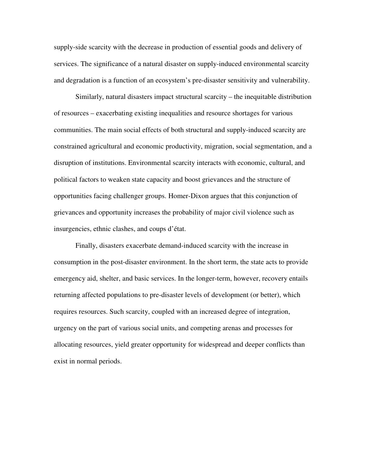supply-side scarcity with the decrease in production of essential goods and delivery of services. The significance of a natural disaster on supply-induced environmental scarcity and degradation is a function of an ecosystem's pre-disaster sensitivity and vulnerability.

Similarly, natural disasters impact structural scarcity – the inequitable distribution of resources – exacerbating existing inequalities and resource shortages for various communities. The main social effects of both structural and supply-induced scarcity are constrained agricultural and economic productivity, migration, social segmentation, and a disruption of institutions. Environmental scarcity interacts with economic, cultural, and political factors to weaken state capacity and boost grievances and the structure of opportunities facing challenger groups. Homer-Dixon argues that this conjunction of grievances and opportunity increases the probability of major civil violence such as insurgencies, ethnic clashes, and coups d'état.

Finally, disasters exacerbate demand-induced scarcity with the increase in consumption in the post-disaster environment. In the short term, the state acts to provide emergency aid, shelter, and basic services. In the longer-term, however, recovery entails returning affected populations to pre-disaster levels of development (or better), which requires resources. Such scarcity, coupled with an increased degree of integration, urgency on the part of various social units, and competing arenas and processes for allocating resources, yield greater opportunity for widespread and deeper conflicts than exist in normal periods.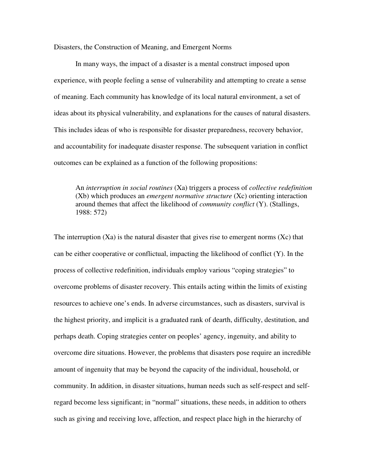Disasters, the Construction of Meaning, and Emergent Norms

In many ways, the impact of a disaster is a mental construct imposed upon experience, with people feeling a sense of vulnerability and attempting to create a sense of meaning. Each community has knowledge of its local natural environment, a set of ideas about its physical vulnerability, and explanations for the causes of natural disasters. This includes ideas of who is responsible for disaster preparedness, recovery behavior, and accountability for inadequate disaster response. The subsequent variation in conflict outcomes can be explained as a function of the following propositions:

An *interruption in social routines* (Xa) triggers a process of *collective redefinition*  (Xb) which produces an *emergent normative structure* (Xc) orienting interaction around themes that affect the likelihood of *community conflict* (Y). (Stallings, 1988: 572)

The interruption  $(Xa)$  is the natural disaster that gives rise to emergent norms  $(Xc)$  that can be either cooperative or conflictual, impacting the likelihood of conflict (Y). In the process of collective redefinition, individuals employ various "coping strategies" to overcome problems of disaster recovery. This entails acting within the limits of existing resources to achieve one's ends. In adverse circumstances, such as disasters, survival is the highest priority, and implicit is a graduated rank of dearth, difficulty, destitution, and perhaps death. Coping strategies center on peoples' agency, ingenuity, and ability to overcome dire situations. However, the problems that disasters pose require an incredible amount of ingenuity that may be beyond the capacity of the individual, household, or community. In addition, in disaster situations, human needs such as self-respect and selfregard become less significant; in "normal" situations, these needs, in addition to others such as giving and receiving love, affection, and respect place high in the hierarchy of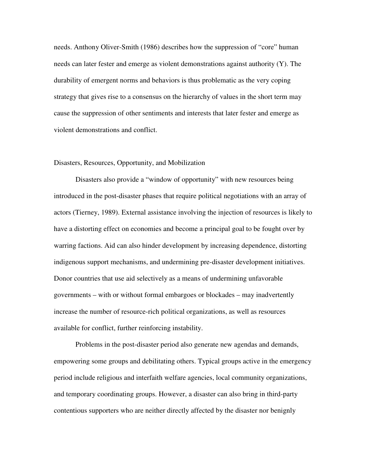needs. Anthony Oliver-Smith (1986) describes how the suppression of "core" human needs can later fester and emerge as violent demonstrations against authority (Y). The durability of emergent norms and behaviors is thus problematic as the very coping strategy that gives rise to a consensus on the hierarchy of values in the short term may cause the suppression of other sentiments and interests that later fester and emerge as violent demonstrations and conflict.

### Disasters, Resources, Opportunity, and Mobilization

Disasters also provide a "window of opportunity" with new resources being introduced in the post-disaster phases that require political negotiations with an array of actors (Tierney, 1989). External assistance involving the injection of resources is likely to have a distorting effect on economies and become a principal goal to be fought over by warring factions. Aid can also hinder development by increasing dependence, distorting indigenous support mechanisms, and undermining pre-disaster development initiatives. Donor countries that use aid selectively as a means of undermining unfavorable governments – with or without formal embargoes or blockades – may inadvertently increase the number of resource-rich political organizations, as well as resources available for conflict, further reinforcing instability.

Problems in the post-disaster period also generate new agendas and demands, empowering some groups and debilitating others. Typical groups active in the emergency period include religious and interfaith welfare agencies, local community organizations, and temporary coordinating groups. However, a disaster can also bring in third-party contentious supporters who are neither directly affected by the disaster nor benignly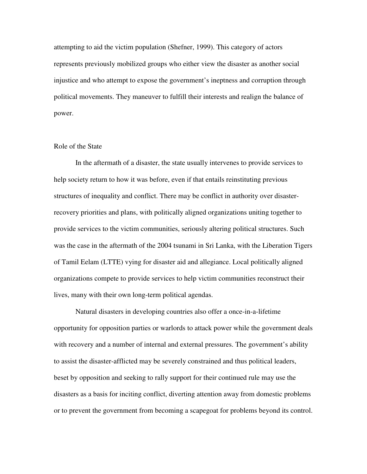attempting to aid the victim population (Shefner, 1999). This category of actors represents previously mobilized groups who either view the disaster as another social injustice and who attempt to expose the government's ineptness and corruption through political movements. They maneuver to fulfill their interests and realign the balance of power.

### Role of the State

In the aftermath of a disaster, the state usually intervenes to provide services to help society return to how it was before, even if that entails reinstituting previous structures of inequality and conflict. There may be conflict in authority over disasterrecovery priorities and plans, with politically aligned organizations uniting together to provide services to the victim communities, seriously altering political structures. Such was the case in the aftermath of the 2004 tsunami in Sri Lanka, with the Liberation Tigers of Tamil Eelam (LTTE) vying for disaster aid and allegiance. Local politically aligned organizations compete to provide services to help victim communities reconstruct their lives, many with their own long-term political agendas.

Natural disasters in developing countries also offer a once-in-a-lifetime opportunity for opposition parties or warlords to attack power while the government deals with recovery and a number of internal and external pressures. The government's ability to assist the disaster-afflicted may be severely constrained and thus political leaders, beset by opposition and seeking to rally support for their continued rule may use the disasters as a basis for inciting conflict, diverting attention away from domestic problems or to prevent the government from becoming a scapegoat for problems beyond its control.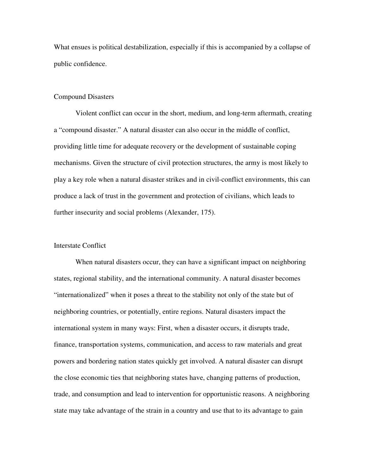What ensues is political destabilization, especially if this is accompanied by a collapse of public confidence.

#### Compound Disasters

 Violent conflict can occur in the short, medium, and long-term aftermath, creating a "compound disaster." A natural disaster can also occur in the middle of conflict, providing little time for adequate recovery or the development of sustainable coping mechanisms. Given the structure of civil protection structures, the army is most likely to play a key role when a natural disaster strikes and in civil-conflict environments, this can produce a lack of trust in the government and protection of civilians, which leads to further insecurity and social problems (Alexander, 175).

# Interstate Conflict

When natural disasters occur, they can have a significant impact on neighboring states, regional stability, and the international community. A natural disaster becomes "internationalized" when it poses a threat to the stability not only of the state but of neighboring countries, or potentially, entire regions. Natural disasters impact the international system in many ways: First, when a disaster occurs, it disrupts trade, finance, transportation systems, communication, and access to raw materials and great powers and bordering nation states quickly get involved. A natural disaster can disrupt the close economic ties that neighboring states have, changing patterns of production, trade, and consumption and lead to intervention for opportunistic reasons. A neighboring state may take advantage of the strain in a country and use that to its advantage to gain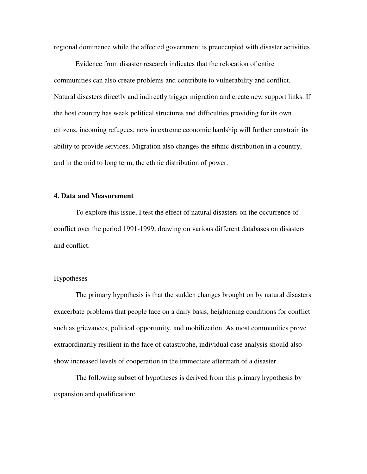regional dominance while the affected government is preoccupied with disaster activities.

 Evidence from disaster research indicates that the relocation of entire communities can also create problems and contribute to vulnerability and conflict. Natural disasters directly and indirectly trigger migration and create new support links. If the host country has weak political structures and difficulties providing for its own citizens, incoming refugees, now in extreme economic hardship will further constrain its ability to provide services. Migration also changes the ethnic distribution in a country, and in the mid to long term, the ethnic distribution of power.

### **4. Data and Measurement**

To explore this issue, I test the effect of natural disasters on the occurrence of conflict over the period 1991-1999, drawing on various different databases on disasters and conflict.

### Hypotheses

 The primary hypothesis is that the sudden changes brought on by natural disasters exacerbate problems that people face on a daily basis, heightening conditions for conflict such as grievances, political opportunity, and mobilization. As most communities prove extraordinarily resilient in the face of catastrophe, individual case analysis should also show increased levels of cooperation in the immediate aftermath of a disaster.

The following subset of hypotheses is derived from this primary hypothesis by expansion and qualification: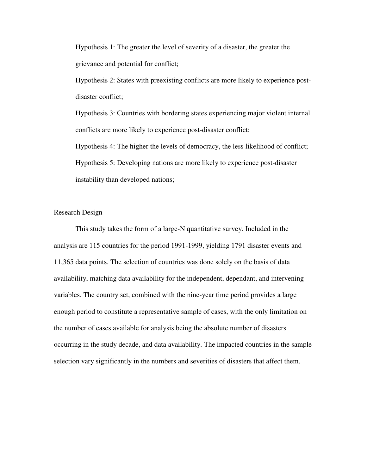Hypothesis 1: The greater the level of severity of a disaster, the greater the grievance and potential for conflict;

Hypothesis 2: States with preexisting conflicts are more likely to experience postdisaster conflict;

Hypothesis 3: Countries with bordering states experiencing major violent internal conflicts are more likely to experience post-disaster conflict;

Hypothesis 4: The higher the levels of democracy, the less likelihood of conflict; Hypothesis 5: Developing nations are more likely to experience post-disaster instability than developed nations;

# Research Design

 This study takes the form of a large-N quantitative survey. Included in the analysis are 115 countries for the period 1991-1999, yielding 1791 disaster events and 11,365 data points. The selection of countries was done solely on the basis of data availability, matching data availability for the independent, dependant, and intervening variables. The country set, combined with the nine-year time period provides a large enough period to constitute a representative sample of cases, with the only limitation on the number of cases available for analysis being the absolute number of disasters occurring in the study decade, and data availability. The impacted countries in the sample selection vary significantly in the numbers and severities of disasters that affect them.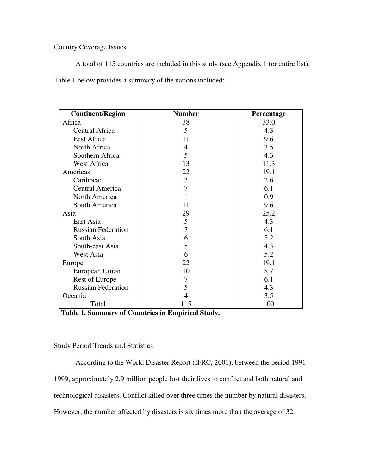# Country Coverage Issues

A total of 115 countries are included in this study (see Appendix 1 for entire list).

Table 1 below provides a summary of the nations included:

| <b>Continent/Region</b>   | <b>Number</b> | Percentage |
|---------------------------|---------------|------------|
| Africa                    | 38            | 33.0       |
| Central Africa            | 5             | 4.3        |
| East Africa               | 11            | 9.6        |
| North Africa              | 4             | 3.5        |
| Southern Africa           | 5             | 4.3        |
| West Africa               | 13            | 11.3       |
| Americas                  | 22            | 19.1       |
| Caribbean                 | 3             | 2.6        |
| Central America           | 7             | 6.1        |
| North America             |               | 0.9        |
| South America             | 11            | 9.6        |
| Asia                      | 29            | 25.2       |
| East Asia                 | 5             | 4.3        |
| <b>Russian Federation</b> | 7             | 6.1        |
| South Asia                | 6             | 5.2        |
| South-east Asia           | 5             | 4.3        |
| West Asia                 | 6             | 5.2        |
| Europe                    | 22            | 19.1       |
| European Union            | 10            | 8.7        |
| <b>Rest of Europe</b>     | 7             | 6.1        |
| <b>Russian Federation</b> | 5             | 4.3        |
| Oceania                   | 4             | 3.5        |
| Total                     | 115           | 100        |

 **Table 1. Summary of Countries in Empirical Study.**

# Study Period Trends and Statistics

According to the World Disaster Report (IFRC, 2001), between the period 1991- 1999, approximately 2.9 million people lost their lives to conflict and both natural and technological disasters. Conflict killed over three times the number by natural disasters. However, the number affected by disasters is six times more than the average of 32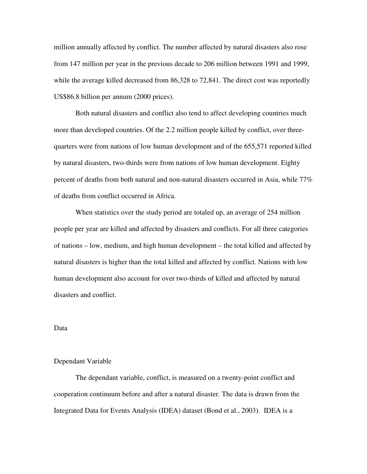million annually affected by conflict. The number affected by natural disasters also rose from 147 million per year in the previous decade to 206 million between 1991 and 1999, while the average killed decreased from 86,328 to 72,841. The direct cost was reportedly US\$86.8 billion per annum (2000 prices).

Both natural disasters and conflict also tend to affect developing countries much more than developed countries. Of the 2.2 million people killed by conflict, over threequarters were from nations of low human development and of the 655,571 reported killed by natural disasters, two-thirds were from nations of low human development. Eighty percent of deaths from both natural and non-natural disasters occurred in Asia, while 77% of deaths from conflict occurred in Africa.

 When statistics over the study period are totaled up, an average of 254 million people per year are killed and affected by disasters and conflicts. For all three categories of nations – low, medium, and high human development – the total killed and affected by natural disasters is higher than the total killed and affected by conflict. Nations with low human development also account for over two-thirds of killed and affected by natural disasters and conflict.

### Data

#### Dependant Variable

The dependant variable, conflict, is measured on a twenty-point conflict and cooperation continuum before and after a natural disaster. The data is drawn from the Integrated Data for Events Analysis (IDEA) dataset (Bond et al., 2003). IDEA is a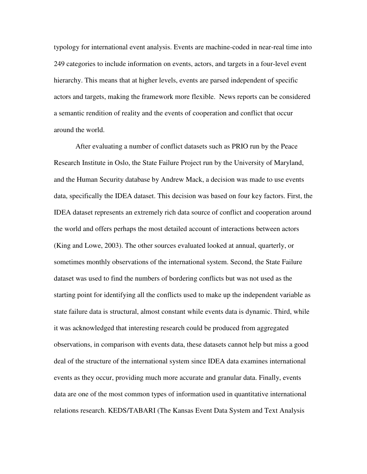typology for international event analysis. Events are machine-coded in near-real time into 249 categories to include information on events, actors, and targets in a four-level event hierarchy. This means that at higher levels, events are parsed independent of specific actors and targets, making the framework more flexible. News reports can be considered a semantic rendition of reality and the events of cooperation and conflict that occur around the world.

After evaluating a number of conflict datasets such as PRIO run by the Peace Research Institute in Oslo, the State Failure Project run by the University of Maryland, and the Human Security database by Andrew Mack, a decision was made to use events data, specifically the IDEA dataset. This decision was based on four key factors. First, the IDEA dataset represents an extremely rich data source of conflict and cooperation around the world and offers perhaps the most detailed account of interactions between actors (King and Lowe, 2003). The other sources evaluated looked at annual, quarterly, or sometimes monthly observations of the international system. Second, the State Failure dataset was used to find the numbers of bordering conflicts but was not used as the starting point for identifying all the conflicts used to make up the independent variable as state failure data is structural, almost constant while events data is dynamic. Third, while it was acknowledged that interesting research could be produced from aggregated observations, in comparison with events data, these datasets cannot help but miss a good deal of the structure of the international system since IDEA data examines international events as they occur, providing much more accurate and granular data. Finally, events data are one of the most common types of information used in quantitative international relations research. KEDS/TABARI (The Kansas Event Data System and Text Analysis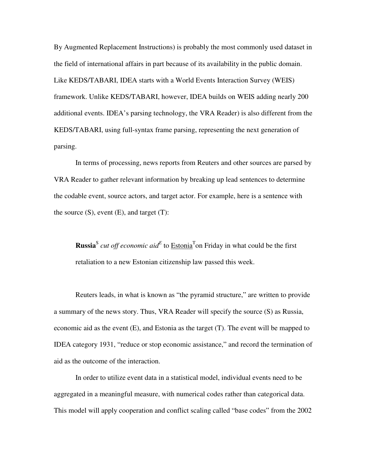By Augmented Replacement Instructions) is probably the most commonly used dataset in the field of international affairs in part because of its availability in the public domain. Like KEDS/TABARI, IDEA starts with a World Events Interaction Survey (WEIS) framework. Unlike KEDS/TABARI, however, IDEA builds on WEIS adding nearly 200 additional events. IDEA's parsing technology, the VRA Reader) is also different from the KEDS/TABARI, using full-syntax frame parsing, representing the next generation of parsing.

In terms of processing, news reports from Reuters and other sources are parsed by VRA Reader to gather relevant information by breaking up lead sentences to determine the codable event, source actors, and target actor. For example, here is a sentence with the source  $(S)$ , event  $(E)$ , and target  $(T)$ :

**Russia**<sup>S</sup> cut off economic aid<sup>E</sup> to  $\overline{\text{Estonia}}^T$  on Friday in what could be the first retaliation to a new Estonian citizenship law passed this week.

Reuters leads, in what is known as "the pyramid structure," are written to provide a summary of the news story. Thus, VRA Reader will specify the source (S) as Russia, economic aid as the event (E), and Estonia as the target (T). The event will be mapped to IDEA category 1931, "reduce or stop economic assistance," and record the termination of aid as the outcome of the interaction.

 In order to utilize event data in a statistical model, individual events need to be aggregated in a meaningful measure, with numerical codes rather than categorical data. This model will apply cooperation and conflict scaling called "base codes" from the 2002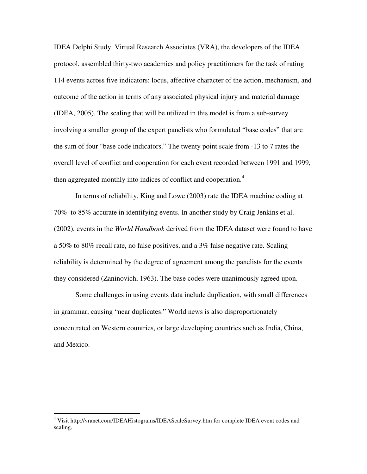IDEA Delphi Study. Virtual Research Associates (VRA), the developers of the IDEA protocol, assembled thirty-two academics and policy practitioners for the task of rating 114 events across five indicators: locus, affective character of the action, mechanism, and outcome of the action in terms of any associated physical injury and material damage (IDEA, 2005). The scaling that will be utilized in this model is from a sub-survey involving a smaller group of the expert panelists who formulated "base codes" that are the sum of four "base code indicators." The twenty point scale from -13 to 7 rates the overall level of conflict and cooperation for each event recorded between 1991 and 1999, then aggregated monthly into indices of conflict and cooperation.<sup>4</sup>

 In terms of reliability, King and Lowe (2003) rate the IDEA machine coding at 70% to 85% accurate in identifying events. In another study by Craig Jenkins et al. (2002), events in the *World Handbook* derived from the IDEA dataset were found to have a 50% to 80% recall rate, no false positives, and a 3% false negative rate. Scaling reliability is determined by the degree of agreement among the panelists for the events they considered (Zaninovich, 1963). The base codes were unanimously agreed upon.

Some challenges in using events data include duplication, with small differences in grammar, causing "near duplicates." World news is also disproportionately concentrated on Western countries, or large developing countries such as India, China, and Mexico.

 4 Visit http://vranet.com/IDEAHistograms/IDEAScaleSurvey.htm for complete IDEA event codes and scaling.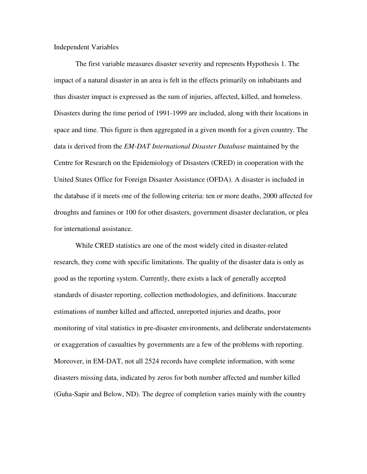Independent Variables

 The first variable measures disaster severity and represents Hypothesis 1. The impact of a natural disaster in an area is felt in the effects primarily on inhabitants and thus disaster impact is expressed as the sum of injuries, affected, killed, and homeless. Disasters during the time period of 1991-1999 are included, along with their locations in space and time. This figure is then aggregated in a given month for a given country. The data is derived from the *EM-DAT International Disaster Database* maintained by the Centre for Research on the Epidemiology of Disasters (CRED) in cooperation with the United States Office for Foreign Disaster Assistance (OFDA). A disaster is included in the database if it meets one of the following criteria: ten or more deaths, 2000 affected for droughts and famines or 100 for other disasters, government disaster declaration, or plea for international assistance.

While CRED statistics are one of the most widely cited in disaster-related research, they come with specific limitations. The quality of the disaster data is only as good as the reporting system. Currently, there exists a lack of generally accepted standards of disaster reporting, collection methodologies, and definitions. Inaccurate estimations of number killed and affected, unreported injuries and deaths, poor monitoring of vital statistics in pre-disaster environments, and deliberate understatements or exaggeration of casualties by governments are a few of the problems with reporting. Moreover, in EM-DAT, not all 2524 records have complete information, with some disasters missing data, indicated by zeros for both number affected and number killed (Guha-Sapir and Below, ND). The degree of completion varies mainly with the country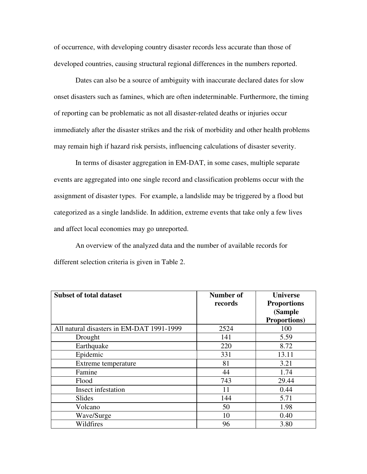of occurrence, with developing country disaster records less accurate than those of developed countries, causing structural regional differences in the numbers reported.

Dates can also be a source of ambiguity with inaccurate declared dates for slow onset disasters such as famines, which are often indeterminable. Furthermore, the timing of reporting can be problematic as not all disaster-related deaths or injuries occur immediately after the disaster strikes and the risk of morbidity and other health problems may remain high if hazard risk persists, influencing calculations of disaster severity.

In terms of disaster aggregation in EM-DAT, in some cases, multiple separate events are aggregated into one single record and classification problems occur with the assignment of disaster types. For example, a landslide may be triggered by a flood but categorized as a single landslide. In addition, extreme events that take only a few lives and affect local economies may go unreported.

An overview of the analyzed data and the number of available records for different selection criteria is given in Table 2.

| <b>Subset of total dataset</b>            | <b>Number of</b> | <b>Universe</b>      |
|-------------------------------------------|------------------|----------------------|
|                                           | records          | <b>Proportions</b>   |
|                                           |                  | (Sample              |
|                                           |                  | <b>Proportions</b> ) |
| All natural disasters in EM-DAT 1991-1999 | 2524             | 100                  |
| Drought                                   | 141              | 5.59                 |
| Earthquake                                | 220              | 8.72                 |
| Epidemic                                  | 331              | 13.11                |
| Extreme temperature                       | 81               | 3.21                 |
| Famine                                    | 44               | 1.74                 |
| Flood                                     | 743              | 29.44                |
| Insect infestation                        | 11               | 0.44                 |
| Slides                                    | 144              | 5.71                 |
| Volcano                                   | 50               | 1.98                 |
| Wave/Surge                                | 10               | 0.40                 |
| Wildfires                                 | 96               | 3.80                 |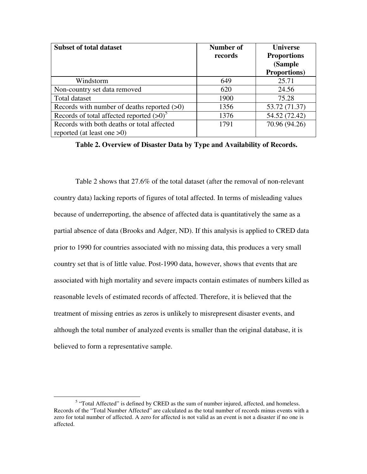| <b>Subset of total dataset</b>                         | Number of<br>records | <b>Universe</b><br><b>Proportions</b><br>(Sample |  |
|--------------------------------------------------------|----------------------|--------------------------------------------------|--|
|                                                        |                      | <b>Proportions</b> )                             |  |
| Windstorm                                              | 649                  | 25.71                                            |  |
| Non-country set data removed                           | 620                  | 24.56                                            |  |
| Total dataset                                          | 1900                 | 75.28                                            |  |
| Records with number of deaths reported $(>0)$          | 1356                 | 53.72 (71.37)                                    |  |
| Records of total affected reported $(>0)$ <sup>5</sup> | 1376                 | 54.52 (72.42)                                    |  |
| Records with both deaths or total affected             | 1791                 | 70.96 (94.26)                                    |  |
| reported (at least one $>0$ )                          |                      |                                                  |  |

**Table 2. Overview of Disaster Data by Type and Availability of Records.**

Table 2 shows that 27.6% of the total dataset (after the removal of non-relevant country data) lacking reports of figures of total affected. In terms of misleading values because of underreporting, the absence of affected data is quantitatively the same as a partial absence of data (Brooks and Adger, ND). If this analysis is applied to CRED data prior to 1990 for countries associated with no missing data, this produces a very small country set that is of little value. Post-1990 data, however, shows that events that are associated with high mortality and severe impacts contain estimates of numbers killed as reasonable levels of estimated records of affected. Therefore, it is believed that the treatment of missing entries as zeros is unlikely to misrepresent disaster events, and although the total number of analyzed events is smaller than the original database, it is believed to form a representative sample.

<sup>-</sup> $<sup>5</sup>$  "Total Affected" is defined by CRED as the sum of number injured, affected, and homeless.</sup> Records of the "Total Number Affected" are calculated as the total number of records minus events with a zero for total number of affected. A zero for affected is not valid as an event is not a disaster if no one is affected.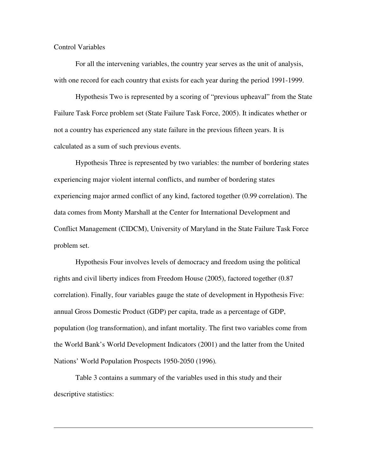# Control Variables

 $\overline{a}$ 

 For all the intervening variables, the country year serves as the unit of analysis, with one record for each country that exists for each year during the period 1991-1999.

 Hypothesis Two is represented by a scoring of "previous upheaval" from the State Failure Task Force problem set (State Failure Task Force, 2005). It indicates whether or not a country has experienced any state failure in the previous fifteen years. It is calculated as a sum of such previous events.

Hypothesis Three is represented by two variables: the number of bordering states experiencing major violent internal conflicts, and number of bordering states experiencing major armed conflict of any kind, factored together (0.99 correlation). The data comes from Monty Marshall at the Center for International Development and Conflict Management (CIDCM), University of Maryland in the State Failure Task Force problem set.

Hypothesis Four involves levels of democracy and freedom using the political rights and civil liberty indices from Freedom House (2005), factored together (0.87 correlation). Finally, four variables gauge the state of development in Hypothesis Five: annual Gross Domestic Product (GDP) per capita, trade as a percentage of GDP, population (log transformation), and infant mortality. The first two variables come from the World Bank's World Development Indicators (2001) and the latter from the United Nations' World Population Prospects 1950-2050 (1996)*.*

 Table 3 contains a summary of the variables used in this study and their descriptive statistics: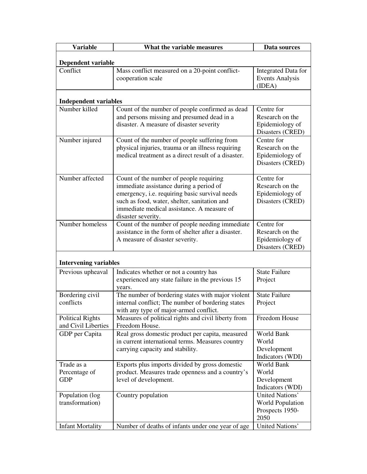| <b>Variable</b>                                         | What the variable measures                                                                             | Data sources            |  |  |  |
|---------------------------------------------------------|--------------------------------------------------------------------------------------------------------|-------------------------|--|--|--|
|                                                         |                                                                                                        |                         |  |  |  |
| <b>Dependent variable</b><br><b>Integrated Data for</b> |                                                                                                        |                         |  |  |  |
| Conflict                                                | Mass conflict measured on a 20-point conflict-                                                         |                         |  |  |  |
|                                                         | cooperation scale                                                                                      |                         |  |  |  |
|                                                         |                                                                                                        | (IDEA)                  |  |  |  |
| <b>Independent variables</b>                            |                                                                                                        |                         |  |  |  |
| Number killed                                           | Count of the number of people confirmed as dead                                                        | Centre for              |  |  |  |
|                                                         | and persons missing and presumed dead in a                                                             | Research on the         |  |  |  |
|                                                         | disaster. A measure of disaster severity                                                               | Epidemiology of         |  |  |  |
|                                                         |                                                                                                        | Disasters (CRED)        |  |  |  |
| Number injured                                          | Count of the number of people suffering from                                                           | Centre for              |  |  |  |
|                                                         | physical injuries, trauma or an illness requiring                                                      | Research on the         |  |  |  |
|                                                         | medical treatment as a direct result of a disaster.                                                    | Epidemiology of         |  |  |  |
|                                                         |                                                                                                        | Disasters (CRED)        |  |  |  |
|                                                         |                                                                                                        |                         |  |  |  |
| Number affected                                         | Count of the number of people requiring                                                                | Centre for              |  |  |  |
|                                                         | immediate assistance during a period of                                                                | Research on the         |  |  |  |
|                                                         | emergency, i.e. requiring basic survival needs                                                         | Epidemiology of         |  |  |  |
|                                                         | such as food, water, shelter, sanitation and                                                           | Disasters (CRED)        |  |  |  |
|                                                         | immediate medical assistance. A measure of                                                             |                         |  |  |  |
|                                                         | disaster severity.                                                                                     |                         |  |  |  |
| Number homeless                                         | Count of the number of people needing immediate                                                        | Centre for              |  |  |  |
|                                                         | assistance in the form of shelter after a disaster.                                                    | Research on the         |  |  |  |
|                                                         | A measure of disaster severity.                                                                        | Epidemiology of         |  |  |  |
|                                                         |                                                                                                        | Disasters (CRED)        |  |  |  |
| <b>Intervening variables</b>                            |                                                                                                        |                         |  |  |  |
|                                                         |                                                                                                        |                         |  |  |  |
| Previous upheaval                                       | Indicates whether or not a country has                                                                 | <b>State Failure</b>    |  |  |  |
|                                                         | experienced any state failure in the previous 15                                                       | Project                 |  |  |  |
|                                                         | years.                                                                                                 | <b>State Failure</b>    |  |  |  |
| Bordering civil<br>conflicts                            | The number of bordering states with major violent<br>internal conflict; The number of bordering states |                         |  |  |  |
|                                                         |                                                                                                        | Project                 |  |  |  |
| <b>Political Rights</b>                                 | with any type of major-armed conflict.<br>Measures of political rights and civil liberty from          | Freedom House           |  |  |  |
| and Civil Liberties                                     | Freedom House.                                                                                         |                         |  |  |  |
| GDP per Capita                                          | Real gross domestic product per capita, measured                                                       | World Bank              |  |  |  |
|                                                         | in current international terms. Measures country                                                       | World                   |  |  |  |
|                                                         | carrying capacity and stability.                                                                       | Development             |  |  |  |
|                                                         |                                                                                                        | Indicators (WDI)        |  |  |  |
| Trade as a                                              | Exports plus imports divided by gross domestic                                                         | <b>World Bank</b>       |  |  |  |
| Percentage of                                           | product. Measures trade openness and a country's                                                       | World                   |  |  |  |
| <b>GDP</b>                                              | level of development.                                                                                  | Development             |  |  |  |
|                                                         |                                                                                                        | Indicators (WDI)        |  |  |  |
| Population (log                                         | Country population                                                                                     | United Nations'         |  |  |  |
| transformation)                                         |                                                                                                        | <b>World Population</b> |  |  |  |
|                                                         |                                                                                                        | Prospects 1950-         |  |  |  |
|                                                         |                                                                                                        | 2050                    |  |  |  |
| <b>Infant Mortality</b>                                 | Number of deaths of infants under one year of age                                                      | United Nations'         |  |  |  |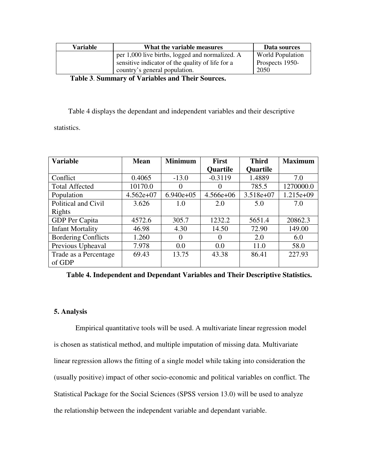| <b>Variable</b> | What the variable measures                       | Data sources            |
|-----------------|--------------------------------------------------|-------------------------|
|                 | per 1,000 live births, logged and normalized. A  | <b>World Population</b> |
|                 | sensitive indicator of the quality of life for a | Prospects 1950-         |
|                 | country's general population.                    | 2050                    |
|                 |                                                  |                         |

 **Table 3**. **Summary of Variables and Their Sources.** 

Table 4 displays the dependant and independent variables and their descriptive

statistics.

| <b>Variable</b>            | <b>Mean</b> | <b>Minimum</b> | <b>First</b> | <b>Third</b> | <b>Maximum</b> |
|----------------------------|-------------|----------------|--------------|--------------|----------------|
|                            |             |                | Quartile     | Quartile     |                |
| Conflict                   | 0.4065      | $-13.0$        | $-0.3119$    | 1.4889       | 7.0            |
| <b>Total Affected</b>      | 10170.0     | $\theta$       | $\theta$     | 785.5        | 1270000.0      |
| Population                 | $4.562e+07$ | $6.940e+05$    | $4.566e+06$  | $3.518e+07$  | $1.215e+09$    |
| Political and Civil        | 3.626       | 1.0            | 2.0          | 5.0          | 7.0            |
| Rights                     |             |                |              |              |                |
| GDP Per Capita             | 4572.6      | 305.7          | 1232.2       | 5651.4       | 20862.3        |
| <b>Infant Mortality</b>    | 46.98       | 4.30           | 14.50        | 72.90        | 149.00         |
| <b>Bordering Conflicts</b> | 1.260       | $\theta$       | 0            | 2.0          | 6.0            |
| Previous Upheaval          | 7.978       | 0.0            | 0.0          | 11.0         | 58.0           |
| Trade as a Percentage      | 69.43       | 13.75          | 43.38        | 86.41        | 227.93         |
| of GDP                     |             |                |              |              |                |

 **Table 4. Independent and Dependant Variables and Their Descriptive Statistics.** 

# **5. Analysis**

 Empirical quantitative tools will be used. A multivariate linear regression model is chosen as statistical method, and multiple imputation of missing data. Multivariate linear regression allows the fitting of a single model while taking into consideration the (usually positive) impact of other socio-economic and political variables on conflict. The Statistical Package for the Social Sciences (SPSS version 13.0) will be used to analyze the relationship between the independent variable and dependant variable.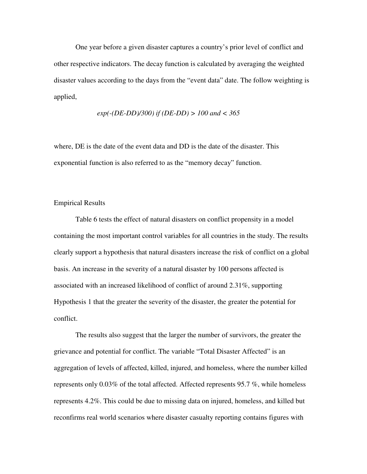One year before a given disaster captures a country's prior level of conflict and other respective indicators. The decay function is calculated by averaging the weighted disaster values according to the days from the "event data" date. The follow weighting is applied,

$$
exp(-(DE\text{-}DD)/300)
$$
 if  $(DE\text{-}DD) > 100$  and  $< 365$ 

where, DE is the date of the event data and DD is the date of the disaster. This exponential function is also referred to as the "memory decay" function.

## Empirical Results

 Table 6 tests the effect of natural disasters on conflict propensity in a model containing the most important control variables for all countries in the study. The results clearly support a hypothesis that natural disasters increase the risk of conflict on a global basis. An increase in the severity of a natural disaster by 100 persons affected is associated with an increased likelihood of conflict of around 2.31%, supporting Hypothesis 1 that the greater the severity of the disaster, the greater the potential for conflict.

The results also suggest that the larger the number of survivors, the greater the grievance and potential for conflict. The variable "Total Disaster Affected" is an aggregation of levels of affected, killed, injured, and homeless, where the number killed represents only 0.03% of the total affected. Affected represents 95.7 %, while homeless represents 4.2%. This could be due to missing data on injured, homeless, and killed but reconfirms real world scenarios where disaster casualty reporting contains figures with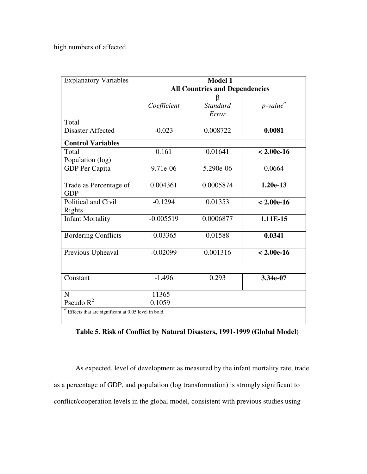high numbers of affected.

| <b>Explanatory Variables</b>                        | Model 1<br><b>All Countries and Dependencies</b> |                          |                         |  |
|-----------------------------------------------------|--------------------------------------------------|--------------------------|-------------------------|--|
|                                                     | Coefficient                                      | <b>Standard</b><br>Error | $p$ -value <sup>a</sup> |  |
| Total<br><b>Disaster Affected</b>                   | $-0.023$                                         | 0.008722                 | 0.0081                  |  |
| <b>Control Variables</b>                            |                                                  |                          |                         |  |
| Total<br>Population (log)                           | 0.161                                            | 0.01641                  | $< 2.00e-16$            |  |
| <b>GDP</b> Per Capita                               | 9.71e-06                                         | 5.290e-06                | 0.0664                  |  |
| Trade as Percentage of<br><b>GDP</b>                | 0.004361                                         | 0.0005874                | $1.20e-13$              |  |
| Political and Civil<br>Rights                       | $-0.1294$                                        | 0.01353                  | $< 2.00e-16$            |  |
| <b>Infant Mortality</b>                             | $-0.005519$                                      | 0.0006877                | 1.11E-15                |  |
| <b>Bordering Conflicts</b>                          | $-0.03365$                                       | 0.01588                  | 0.0341                  |  |
| Previous Upheaval                                   | $-0.02099$                                       | 0.001316                 | $< 2.00e-16$            |  |
|                                                     |                                                  |                          |                         |  |
| Constant                                            | $-1.496$                                         | 0.293                    | 3.34e-07                |  |
| N                                                   | 11365                                            |                          |                         |  |
| Pseudo $R^2$                                        | 0.1059                                           |                          |                         |  |
| Effects that are significant at 0.05 level in bold. |                                                  |                          |                         |  |

**Table 5. Risk of Conflict by Natural Disasters, 1991-1999 (Global Model)** 

As expected, level of development as measured by the infant mortality rate, trade as a percentage of GDP, and population (log transformation) is strongly significant to conflict/cooperation levels in the global model, consistent with previous studies using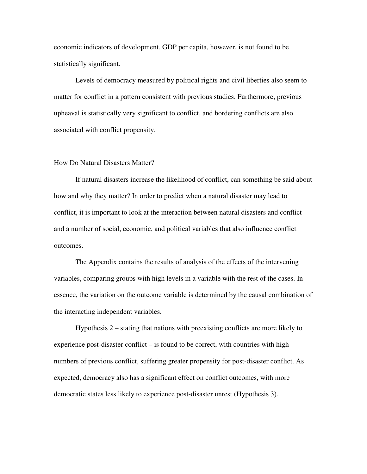economic indicators of development. GDP per capita, however, is not found to be statistically significant.

Levels of democracy measured by political rights and civil liberties also seem to matter for conflict in a pattern consistent with previous studies. Furthermore, previous upheaval is statistically very significant to conflict, and bordering conflicts are also associated with conflict propensity.

### How Do Natural Disasters Matter?

If natural disasters increase the likelihood of conflict, can something be said about how and why they matter? In order to predict when a natural disaster may lead to conflict, it is important to look at the interaction between natural disasters and conflict and a number of social, economic, and political variables that also influence conflict outcomes.

The Appendix contains the results of analysis of the effects of the intervening variables, comparing groups with high levels in a variable with the rest of the cases. In essence, the variation on the outcome variable is determined by the causal combination of the interacting independent variables.

Hypothesis 2 – stating that nations with preexisting conflicts are more likely to experience post-disaster conflict – is found to be correct, with countries with high numbers of previous conflict, suffering greater propensity for post-disaster conflict. As expected, democracy also has a significant effect on conflict outcomes, with more democratic states less likely to experience post-disaster unrest (Hypothesis 3).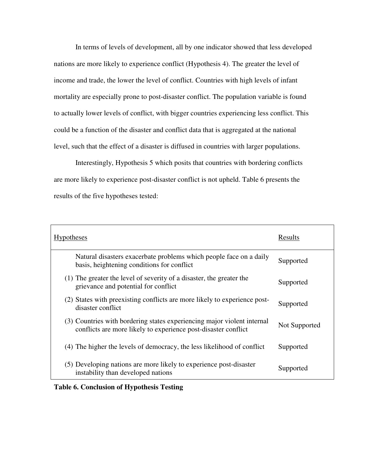In terms of levels of development, all by one indicator showed that less developed nations are more likely to experience conflict (Hypothesis 4). The greater the level of income and trade, the lower the level of conflict. Countries with high levels of infant mortality are especially prone to post-disaster conflict. The population variable is found to actually lower levels of conflict, with bigger countries experiencing less conflict. This could be a function of the disaster and conflict data that is aggregated at the national level, such that the effect of a disaster is diffused in countries with larger populations.

Interestingly, Hypothesis 5 which posits that countries with bordering conflicts are more likely to experience post-disaster conflict is not upheld. Table 6 presents the results of the five hypotheses tested:

| <b>Hypotheses</b>                                                                                                                         | Results       |
|-------------------------------------------------------------------------------------------------------------------------------------------|---------------|
| Natural disasters exacerbate problems which people face on a daily<br>basis, heightening conditions for conflict                          | Supported     |
| (1) The greater the level of severity of a disaster, the greater the<br>grievance and potential for conflict                              | Supported     |
| (2) States with preexisting conflicts are more likely to experience post-<br>disaster conflict.                                           | Supported     |
| (3) Countries with bordering states experiencing major violent internal<br>conflicts are more likely to experience post-disaster conflict | Not Supported |
| (4) The higher the levels of democracy, the less likelihood of conflict                                                                   | Supported     |
| (5) Developing nations are more likely to experience post-disaster<br>instability than developed nations                                  | Supported     |

### **Table 6. Conclusion of Hypothesis Testing**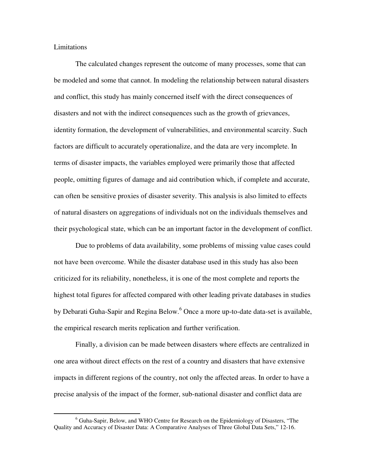Limitations

 $\overline{a}$ 

The calculated changes represent the outcome of many processes, some that can be modeled and some that cannot. In modeling the relationship between natural disasters and conflict, this study has mainly concerned itself with the direct consequences of disasters and not with the indirect consequences such as the growth of grievances, identity formation, the development of vulnerabilities, and environmental scarcity. Such factors are difficult to accurately operationalize, and the data are very incomplete. In terms of disaster impacts, the variables employed were primarily those that affected people, omitting figures of damage and aid contribution which, if complete and accurate, can often be sensitive proxies of disaster severity. This analysis is also limited to effects of natural disasters on aggregations of individuals not on the individuals themselves and their psychological state, which can be an important factor in the development of conflict.

Due to problems of data availability, some problems of missing value cases could not have been overcome. While the disaster database used in this study has also been criticized for its reliability, nonetheless, it is one of the most complete and reports the highest total figures for affected compared with other leading private databases in studies by Debarati Guha-Sapir and Regina Below.<sup>6</sup> Once a more up-to-date data-set is available, the empirical research merits replication and further verification.

Finally, a division can be made between disasters where effects are centralized in one area without direct effects on the rest of a country and disasters that have extensive impacts in different regions of the country, not only the affected areas. In order to have a precise analysis of the impact of the former, sub-national disaster and conflict data are

<sup>&</sup>lt;sup>6</sup> Guha-Sapir, Below, and WHO Centre for Research on the Epidemiology of Disasters, "The Quality and Accuracy of Disaster Data: A Comparative Analyses of Three Global Data Sets," 12-16.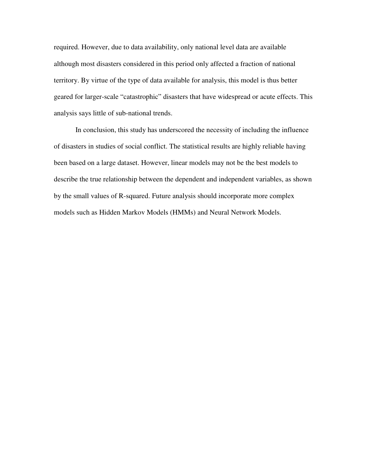required. However, due to data availability, only national level data are available although most disasters considered in this period only affected a fraction of national territory. By virtue of the type of data available for analysis, this model is thus better geared for larger-scale "catastrophic" disasters that have widespread or acute effects. This analysis says little of sub-national trends.

 In conclusion, this study has underscored the necessity of including the influence of disasters in studies of social conflict. The statistical results are highly reliable having been based on a large dataset. However, linear models may not be the best models to describe the true relationship between the dependent and independent variables, as shown by the small values of R-squared. Future analysis should incorporate more complex models such as Hidden Markov Models (HMMs) and Neural Network Models.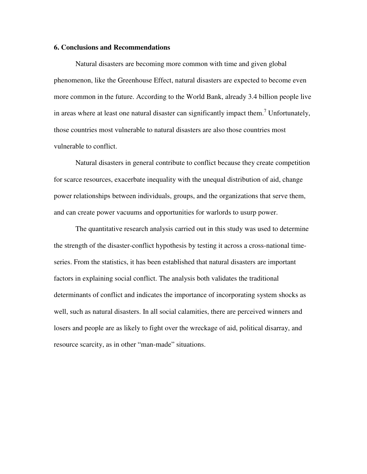### **6. Conclusions and Recommendations**

Natural disasters are becoming more common with time and given global phenomenon, like the Greenhouse Effect, natural disasters are expected to become even more common in the future. According to the World Bank, already 3.4 billion people live in areas where at least one natural disaster can significantly impact them.<sup>7</sup> Unfortunately, those countries most vulnerable to natural disasters are also those countries most vulnerable to conflict.

 Natural disasters in general contribute to conflict because they create competition for scarce resources, exacerbate inequality with the unequal distribution of aid, change power relationships between individuals, groups, and the organizations that serve them, and can create power vacuums and opportunities for warlords to usurp power.

The quantitative research analysis carried out in this study was used to determine the strength of the disaster-conflict hypothesis by testing it across a cross-national timeseries. From the statistics, it has been established that natural disasters are important factors in explaining social conflict. The analysis both validates the traditional determinants of conflict and indicates the importance of incorporating system shocks as well, such as natural disasters. In all social calamities, there are perceived winners and losers and people are as likely to fight over the wreckage of aid, political disarray, and resource scarcity, as in other "man-made" situations.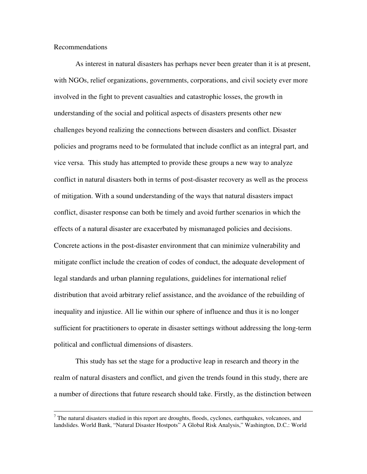Recommendations

 $\overline{a}$ 

As interest in natural disasters has perhaps never been greater than it is at present, with NGOs, relief organizations, governments, corporations, and civil society ever more involved in the fight to prevent casualties and catastrophic losses, the growth in understanding of the social and political aspects of disasters presents other new challenges beyond realizing the connections between disasters and conflict. Disaster policies and programs need to be formulated that include conflict as an integral part, and vice versa. This study has attempted to provide these groups a new way to analyze conflict in natural disasters both in terms of post-disaster recovery as well as the process of mitigation. With a sound understanding of the ways that natural disasters impact conflict, disaster response can both be timely and avoid further scenarios in which the effects of a natural disaster are exacerbated by mismanaged policies and decisions. Concrete actions in the post-disaster environment that can minimize vulnerability and mitigate conflict include the creation of codes of conduct, the adequate development of legal standards and urban planning regulations, guidelines for international relief distribution that avoid arbitrary relief assistance, and the avoidance of the rebuilding of inequality and injustice. All lie within our sphere of influence and thus it is no longer sufficient for practitioners to operate in disaster settings without addressing the long-term political and conflictual dimensions of disasters.

This study has set the stage for a productive leap in research and theory in the realm of natural disasters and conflict, and given the trends found in this study, there are a number of directions that future research should take. Firstly, as the distinction between

 $<sup>7</sup>$  The natural disasters studied in this report are droughts, floods, cyclones, earthquakes, volcanoes, and</sup> landslides. World Bank, "Natural Disaster Hostpots" A Global Risk Analysis," Washington, D.C.: World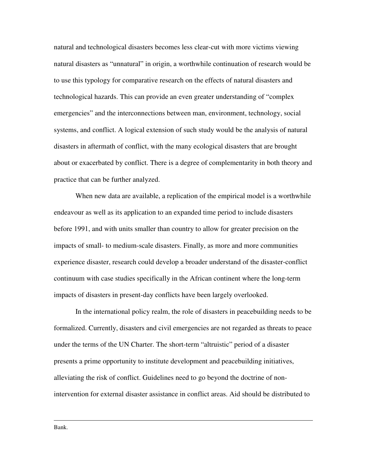natural and technological disasters becomes less clear-cut with more victims viewing natural disasters as "unnatural" in origin, a worthwhile continuation of research would be to use this typology for comparative research on the effects of natural disasters and technological hazards. This can provide an even greater understanding of "complex emergencies" and the interconnections between man, environment, technology, social systems, and conflict. A logical extension of such study would be the analysis of natural disasters in aftermath of conflict, with the many ecological disasters that are brought about or exacerbated by conflict. There is a degree of complementarity in both theory and practice that can be further analyzed.

When new data are available, a replication of the empirical model is a worthwhile endeavour as well as its application to an expanded time period to include disasters before 1991, and with units smaller than country to allow for greater precision on the impacts of small- to medium-scale disasters. Finally, as more and more communities experience disaster, research could develop a broader understand of the disaster-conflict continuum with case studies specifically in the African continent where the long-term impacts of disasters in present-day conflicts have been largely overlooked.

In the international policy realm, the role of disasters in peacebuilding needs to be formalized. Currently, disasters and civil emergencies are not regarded as threats to peace under the terms of the UN Charter. The short-term "altruistic" period of a disaster presents a prime opportunity to institute development and peacebuilding initiatives, alleviating the risk of conflict. Guidelines need to go beyond the doctrine of nonintervention for external disaster assistance in conflict areas. Aid should be distributed to

Bank.

<u>.</u>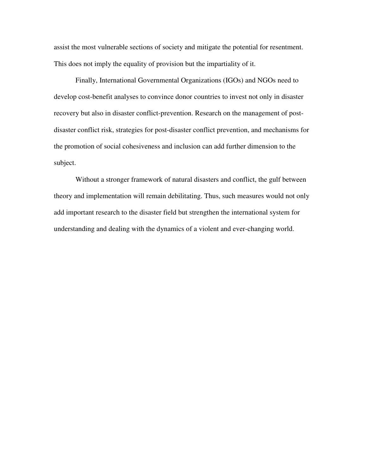assist the most vulnerable sections of society and mitigate the potential for resentment. This does not imply the equality of provision but the impartiality of it.

Finally, International Governmental Organizations (IGOs) and NGOs need to develop cost-benefit analyses to convince donor countries to invest not only in disaster recovery but also in disaster conflict-prevention. Research on the management of postdisaster conflict risk, strategies for post-disaster conflict prevention, and mechanisms for the promotion of social cohesiveness and inclusion can add further dimension to the subject.

Without a stronger framework of natural disasters and conflict, the gulf between theory and implementation will remain debilitating. Thus, such measures would not only add important research to the disaster field but strengthen the international system for understanding and dealing with the dynamics of a violent and ever-changing world.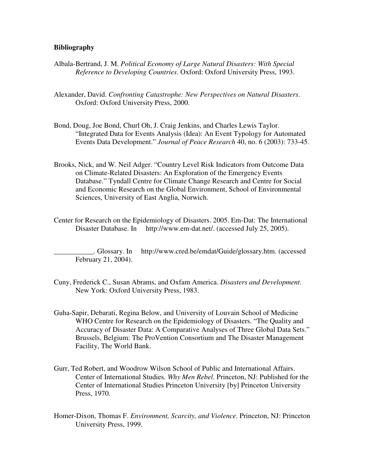### **Bibliography**

- Albala-Bertrand, J. M. *Political Economy of Large Natural Disasters: With Special Reference to Developing Countries*. Oxford: Oxford University Press, 1993.
- Alexander, David. *Confronting Catastrophe: New Perspectives on Natural Disasters*. Oxford: Oxford University Press, 2000.
- Bond, Doug, Joe Bond, Churl Oh, J. Craig Jenkins, and Charles Lewis Taylor. "Integrated Data for Events Analysis (Idea): An Event Typology for Automated Events Data Development." *Journal of Peace Research* 40, no. 6 (2003): 733-45.
- Brooks, Nick, and W. Neil Adger. "Country Level Risk Indicators from Outcome Data on Climate-Related Disasters: An Exploration of the Emergency Events Database." Tyndall Centre for Climate Change Research and Centre for Social and Economic Research on the Global Environment, School of Environmental Sciences, University of East Anglia, Norwich.
- Center for Research on the Epidemiology of Disasters. 2005. Em-Dat: The International Disaster Database. Inhttp://www.em-dat.net/. (accessed July 25, 2005).

\_\_\_\_\_\_\_\_\_\_\_. Glossary. Inhttp://www.cred.be/emdat/Guide/glossary.htm. (accessed February 21, 2004).

- Cuny, Frederick C., Susan Abrams, and Oxfam America. *Disasters and Development*. New York: Oxford University Press, 1983.
- Guha-Sapir, Debarati, Regina Below, and University of Louvain School of Medicine WHO Centre for Research on the Epidemiology of Disasters. "The Quality and Accuracy of Disaster Data: A Comparative Analyses of Three Global Data Sets." Brussels, Belgium: The ProVention Consortium and The Disaster Management Facility, The World Bank.
- Gurr, Ted Robert, and Woodrow Wilson School of Public and International Affairs. Center of International Studies. *Why Men Rebel*. Princeton, NJ: Published for the Center of International Studies Princeton University [by] Princeton University Press, 1970.
- Homer-Dixon, Thomas F. *Environment, Scarcity, and Violence*. Princeton, NJ: Princeton University Press, 1999.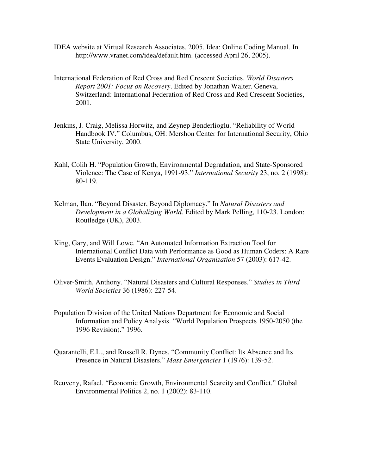- IDEA website at Virtual Research Associates. 2005. Idea: Online Coding Manual. In http://www.vranet.com/idea/default.htm. (accessed April 26, 2005).
- International Federation of Red Cross and Red Crescent Societies. *World Disasters Report 2001: Focus on Recovery*. Edited by Jonathan Walter. Geneva, Switzerland: International Federation of Red Cross and Red Crescent Societies, 2001.
- Jenkins, J. Craig, Melissa Horwitz, and Zeynep Benderlioglu. "Reliability of World Handbook IV." Columbus, OH: Mershon Center for International Security, Ohio State University, 2000.
- Kahl, Colih H. "Population Growth, Environmental Degradation, and State-Sponsored Violence: The Case of Kenya, 1991-93." *International Security* 23, no. 2 (1998): 80-119.
- Kelman, Ilan. "Beyond Disaster, Beyond Diplomacy." In *Natural Disasters and Development in a Globalizing World*. Edited by Mark Pelling, 110-23. London: Routledge (UK), 2003.
- King, Gary, and Will Lowe. "An Automated Information Extraction Tool for International Conflict Data with Performance as Good as Human Coders: A Rare Events Evaluation Design." *International Organization* 57 (2003): 617-42.
- Oliver-Smith, Anthony. "Natural Disasters and Cultural Responses." *Studies in Third World Societies* 36 (1986): 227-54.
- Population Division of the United Nations Department for Economic and Social Information and Policy Analysis. "World Population Prospects 1950-2050 (the 1996 Revision)." 1996.
- Quarantelli, E.L., and Russell R. Dynes. "Community Conflict: Its Absence and Its Presence in Natural Disasters." *Mass Emergencies* 1 (1976): 139-52.
- Reuveny, Rafael. "Economic Growth, Environmental Scarcity and Conflict." Global Environmental Politics 2, no. 1 (2002): 83-110.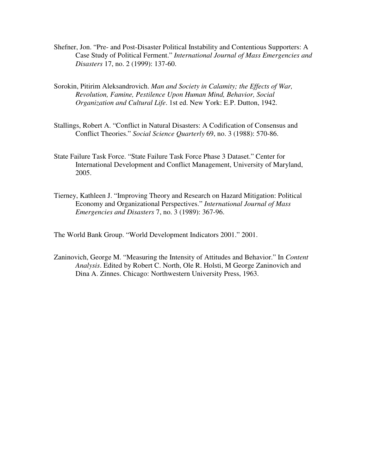- Shefner, Jon. "Pre- and Post-Disaster Political Instability and Contentious Supporters: A Case Study of Political Ferment." *International Journal of Mass Emergencies and Disasters* 17, no. 2 (1999): 137-60.
- Sorokin, Pitirim Aleksandrovich. *Man and Society in Calamity; the Effects of War, Revolution, Famine, Pestilence Upon Human Mind, Behavior, Social Organization and Cultural Life*. 1st ed. New York: E.P. Dutton, 1942.
- Stallings, Robert A. "Conflict in Natural Disasters: A Codification of Consensus and Conflict Theories." *Social Science Quarterly* 69, no. 3 (1988): 570-86.
- State Failure Task Force. "State Failure Task Force Phase 3 Dataset." Center for International Development and Conflict Management, University of Maryland, 2005.
- Tierney, Kathleen J. "Improving Theory and Research on Hazard Mitigation: Political Economy and Organizational Perspectives." *International Journal of Mass Emergencies and Disasters* 7, no. 3 (1989): 367-96.

The World Bank Group. "World Development Indicators 2001." 2001.

Zaninovich, George M. "Measuring the Intensity of Attitudes and Behavior." In *Content Analysis*. Edited by Robert C. North, Ole R. Holsti, M George Zaninovich and Dina A. Zinnes. Chicago: Northwestern University Press, 1963.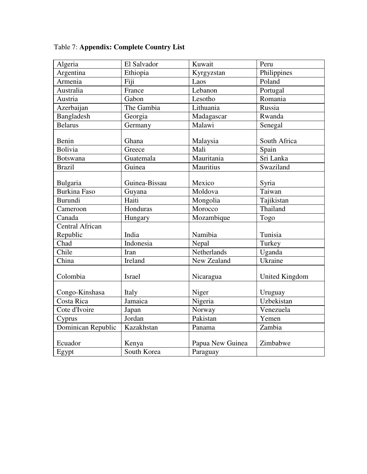| Algeria                | El Salvador   | Kuwait           | Peru                |
|------------------------|---------------|------------------|---------------------|
| Argentina              | Ethiopia      | Kyrgyzstan       | Philippines         |
| Armenia                | Fiji          | Laos             | Poland              |
| Australia              | France        | Lebanon          | Portugal            |
| Austria                | Gabon         | Lesotho          | Romania             |
| Azerbaijan             | The Gambia    | Lithuania        | Russia              |
| Bangladesh             | Georgia       | Madagascar       | Rwanda              |
| <b>Belarus</b>         | Germany       | Malawi           | Senegal             |
| Benin                  | Ghana         | Malaysia         | South Africa        |
| <b>Bolivia</b>         | Greece        | Mali             | Spain               |
| <b>Botswana</b>        | Guatemala     | Mauritania       | Sri Lanka           |
| <b>Brazil</b>          | Guinea        | Mauritius        | Swaziland           |
| Bulgaria               | Guinea-Bissau | Mexico           | Syria               |
| <b>Burkina Faso</b>    | Guyana        | Moldova          | Taiwan              |
| Burundi                | Haiti         | Mongolia         | Tajikistan          |
| Cameroon               | Honduras      | Morocco          | Thailand            |
| Canada                 | Hungary       | Mozambique       | Togo                |
| <b>Central African</b> |               |                  |                     |
| Republic               | India         | Namibia          | Tunisia             |
| Chad                   | Indonesia     | Nepal            | Turkey              |
| Chile                  | Iran          | Netherlands      | Uganda              |
| China                  | Ireland       | New Zealand      | Ukraine             |
| Colombia               | <b>Israel</b> | Nicaragua        | United Kingdom      |
| Congo-Kinshasa         | Italy         | Niger            | Uruguay             |
| Costa Rica             | Jamaica       | Nigeria          | Uzbekistan          |
| Cote d'Ivoire          | Japan         | Norway           | Venezuela           |
| Cyprus                 | Jordan        | Pakistan         | Yemen               |
| Dominican Republic     | Kazakhstan    | Panama           | $Zambi\overline{a}$ |
| Ecuador                | Kenya         | Papua New Guinea | Zimbabwe            |
| Egypt                  | South Korea   | Paraguay         |                     |

Table 7: **Appendix: Complete Country List**